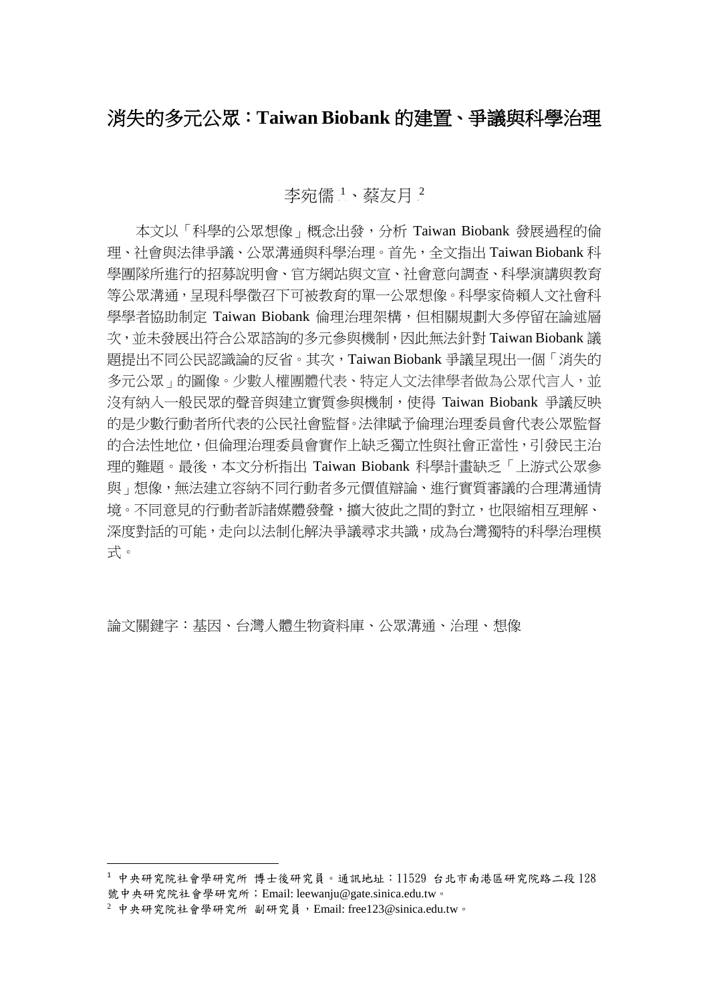## 消失的多元公眾:**Taiwan Biobank** 的建置、爭議與科學治理

李宛儒1、蔡友月2

本文以「科學的公眾想像」概念出發,分析 Taiwan Biobank 發展過程的倫 理、社會與法律爭議、公眾溝通與科學治理。首先,全文指出 Taiwan Biobank 科 學團隊所進行的招募說明會、官方網站與文宣、社會意向調查、科學演講與教育 等公眾溝通,呈現科學徵召下可被教育的單一公眾想像。科學家倚賴人文社會科 學學者協助制定 Taiwan Biobank 倫理治理架構,但相關規劃大多停留在論述層 次,並未發展出符合公眾諮詢的多元參與機制,因此無法針對 Taiwan Biobank 議 題提出不同公民認識論的反省。其次,Taiwan Biobank 爭議呈現出一個「消失的 多元公眾」的圖像。少數人權團體代表、特定人文法律學者做為公眾代言人,並 沒有納入一般民眾的聲音與建立實質參與機制,使得 Taiwan Biobank 爭議反映 的是少數行動者所代表的公民社會監督。法律賦予倫理治理委員會代表公眾監督 的合法性地位,但倫理治理委員會實作上缺乏獨立性與社會正當性,引發民主治 理的難題。最後,本文分析指出 Taiwan Biobank 科學計畫缺乏「上游式公眾參 與」想像,無法建立容納不同行動者多元價值辯論、進行實質審議的合理溝通情 境。不同意見的行動者訴諸媒體發聲,擴大彼此之間的對立,也限縮相互理解、 深度對話的可能,走向以法制化解決爭議尋求共識,成為台灣獨特的科學治理模 式。

論文關鍵字:基因、台灣人體生物資料庫、公眾溝通、治理、想像

 <sup>1</sup> 中央研究院社會學研究所 博士後研究員。通訊地址:11529 台北市南港區研究院路二段 <sup>128</sup> 號中央研究院社會學研究所;Email: leewanju@gate.sinica.edu.tw。

 $2$  中央研究院社會學研究所 副研究員,Email: free123@sinica.edu.tw。